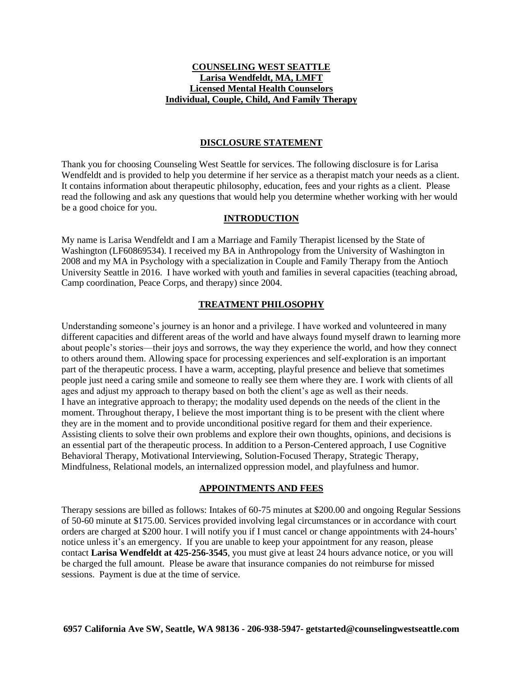## **COUNSELING WEST SEATTLE Larisa Wendfeldt, MA, LMFT Licensed Mental Health Counselors Individual, Couple, Child, And Family Therapy**

## **DISCLOSURE STATEMENT**

Thank you for choosing Counseling West Seattle for services. The following disclosure is for Larisa Wendfeldt and is provided to help you determine if her service as a therapist match your needs as a client. It contains information about therapeutic philosophy, education, fees and your rights as a client. Please read the following and ask any questions that would help you determine whether working with her would be a good choice for you.

## **INTRODUCTION**

My name is Larisa Wendfeldt and I am a Marriage and Family Therapist licensed by the State of Washington (LF60869534). I received my BA in Anthropology from the University of Washington in 2008 and my MA in Psychology with a specialization in Couple and Family Therapy from the Antioch University Seattle in 2016. I have worked with youth and families in several capacities (teaching abroad, Camp coordination, Peace Corps, and therapy) since 2004.

# **TREATMENT PHILOSOPHY**

Understanding someone's journey is an honor and a privilege. I have worked and volunteered in many different capacities and different areas of the world and have always found myself drawn to learning more about people's stories—their joys and sorrows, the way they experience the world, and how they connect to others around them. Allowing space for processing experiences and self-exploration is an important part of the therapeutic process. I have a warm, accepting, playful presence and believe that sometimes people just need a caring smile and someone to really see them where they are. I work with clients of all ages and adjust my approach to therapy based on both the client's age as well as their needs. I have an integrative approach to therapy; the modality used depends on the needs of the client in the moment. Throughout therapy, I believe the most important thing is to be present with the client where they are in the moment and to provide unconditional positive regard for them and their experience. Assisting clients to solve their own problems and explore their own thoughts, opinions, and decisions is an essential part of the therapeutic process. In addition to a Person-Centered approach, I use Cognitive Behavioral Therapy, Motivational Interviewing, Solution-Focused Therapy, Strategic Therapy, Mindfulness, Relational models, an internalized oppression model, and playfulness and humor.

## **APPOINTMENTS AND FEES**

Therapy sessions are billed as follows: Intakes of 60-75 minutes at \$200.00 and ongoing Regular Sessions of 50-60 minute at \$175.00. Services provided involving legal circumstances or in accordance with court orders are charged at \$200 hour. I will notify you if I must cancel or change appointments with 24-hours' notice unless it's an emergency. If you are unable to keep your appointment for any reason, please contact **Larisa Wendfeldt at 425-256-3545**, you must give at least 24 hours advance notice, or you will be charged the full amount. Please be aware that insurance companies do not reimburse for missed sessions. Payment is due at the time of service.